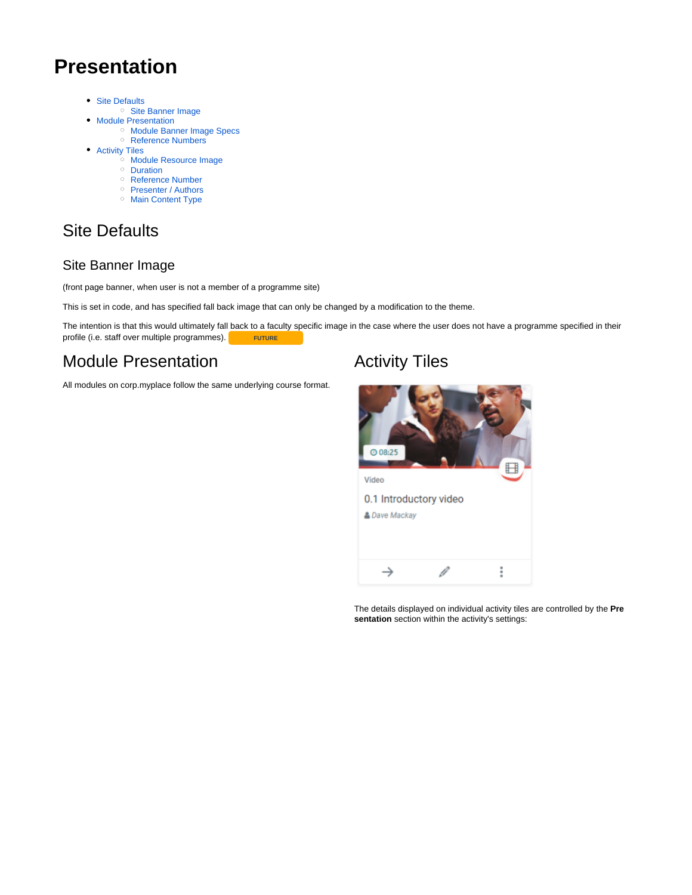# **Presentation**

- [Site Defaults](#page-0-0)
	- <sup>o</sup> [Site Banner Image](#page-0-1)
- [Module Presentation](#page-0-2)
	- <sup>o</sup> [Module Banner Image Specs](#page-1-0) <sup>o</sup> [Reference Numbers](#page-3-0)
	-
- [Activity Tiles](#page-0-2)
	- [Module Resource Image](#page-1-1)
	- <sup>o</sup> [Duration](#page-2-0)
	- <sup>o</sup> [Reference Number](#page-2-1) <sup>o</sup> [Presenter / Authors](#page-2-2)
	- <sup>o</sup> [Main Content Type](#page-2-3)
- <span id="page-0-0"></span>Site Defaults

## <span id="page-0-1"></span>Site Banner Image

(front page banner, when user is not a member of a programme site)

This is set in code, and has specified fall back image that can only be changed by a modification to the theme.

The intention is that this would ultimately fall back to a faculty specific image in the case where the user does not have a programme specified in their profile (i.e. staff over multiple programmes). **FUTURE** 

## <span id="page-0-2"></span>Module Presentation

All modules on corp.myplace follow the same underlying course format.

## Activity Tiles



The details displayed on individual activity tiles are controlled by the **Pre sentation** section within the activity's settings: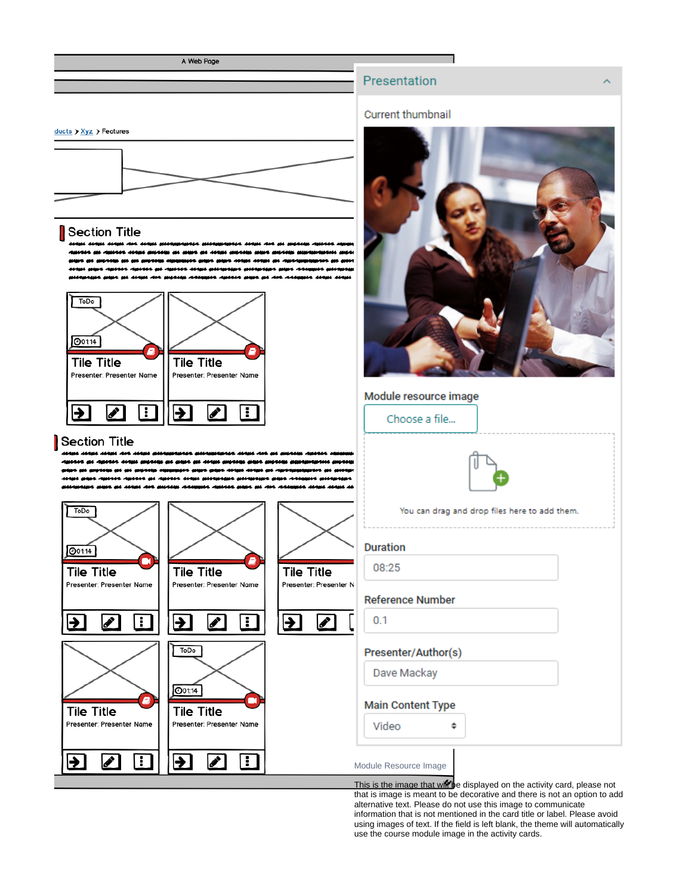## A Web Page



## **Section Title**



## **Section Title**

<span id="page-1-1"></span><span id="page-1-0"></span>

Presentation

## Current thumbnail



## Module resource image Choose a file...

that is image is meant to be decorative and there is not an option to add alternative text. Please do not use this image to communicate information that is not mentioned in the card title or label. Please avoid using images of text. If the field is left blank, the theme will automatically use the course module image in the activity cards.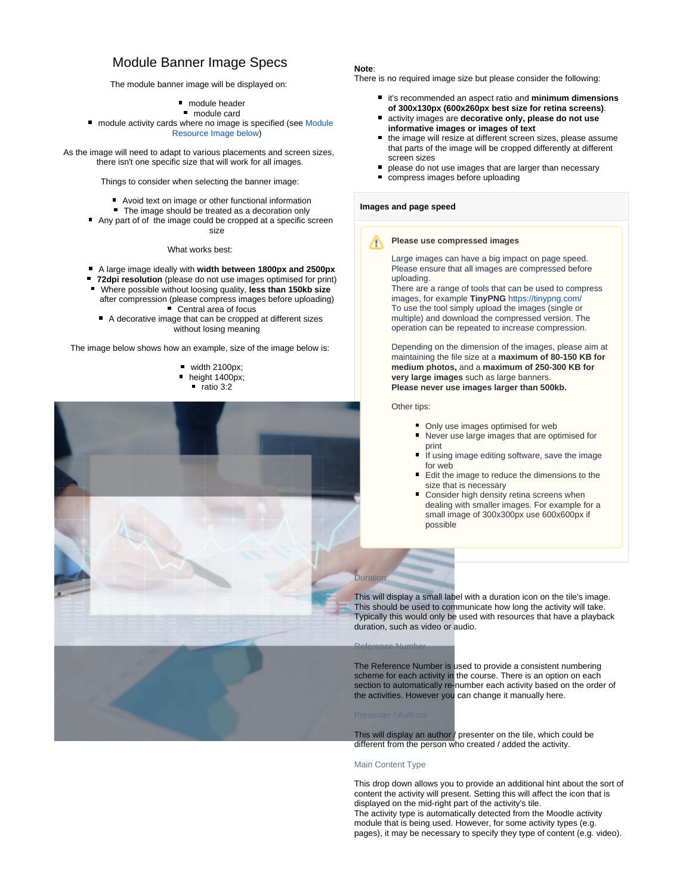## Module Banner Image Specs

The module banner image will be displayed on:

#### ■ module header ■ module card

■ module activity cards where no image is specified (see Module [Resource Image below](#page-1-1))

As the image will need to adapt to various placements and screen sizes, there isn't one specific size that will work for all images.

Things to consider when selecting the banner image:

- Avoid text on image or other functional information
- The image should be treated as a decoration only
- Any part of of the image could be cropped at a specific screen size

#### What works best:

- A large image ideally with **width between 1800px and 2500px**
- **72dpi resolution** (please do not use images optimised for print)
- Where possible without loosing quality, less than 150kb size after compression (please compress images before uploading) ■ Central area of focus
- A decorative image that can be cropped at different sizes without losing meaning

The image below shows how an example, size of the image below is:

- width 2100px; height 1400px;  $\blacksquare$  ratio 3:2
- <span id="page-2-2"></span><span id="page-2-1"></span><span id="page-2-0"></span>

#### **Note**:

There is no required image size but please consider the following:

- it's recommended an aspect ratio and **minimum dimensions of 300x130px (600x260px best size for retina screens)**.
- activity images are **decorative only, please do not use informative images or images of text**
- the image will resize at different screen sizes, please assume that parts of the image will be cropped differently at different screen sizes
- please do not use images that are larger than necessary
- compress images before uploading

#### **Images and page speed**

#### Λ **Please use compressed images**

Large images can have a big impact on page speed. Please ensure that all images are compressed before uploading.

There are a range of tools that can be used to compress images, for example **TinyPNG** <https://tinypng.com/> To use the tool simply upload the images (single or multiple) and download the compressed version. The operation can be repeated to increase compression.

Depending on the dimension of the images, please aim at maintaining the file size at a **maximum of 80-150 KB for medium photos,** and a **maximum of 250-300 KB for very large images** such as large banners. **Please never use images larger than 500kb.**

Other tips:

- Only use images optimised for web
- Never use large images that are optimised for print
- If using image editing software, save the image for web
- Edit the image to reduce the dimensions to the size that is necessary
- Consider high density retina screens when dealing with smaller images. For example for a small image of 300x300px use 600x600px if possible

This will display a small label with a duration icon on the tile's image. This should be used to communicate how long the activity will take. Typically this would only be used with resources that have a playback duration, such as video or audio.

The Reference Number is used to provide a consistent numbering scheme for each activity in the course. There is an option on each section to automatically re-number each activity based on the order of the activities. However you can change it manually here.

Reference Number

**Duration** 

This will display an author / presenter on the tile, which could be different from the person who created / added the activity.

#### <span id="page-2-3"></span>Main Content Type

This drop down allows you to provide an additional hint about the sort of content the activity will present. Setting this will affect the icon that is displayed on the mid-right part of the activity's tile. The activity type is automatically detected from the Moodle activity module that is being used. However, for some activity types (e.g. pages), it may be necessary to specify they type of content (e.g. video).